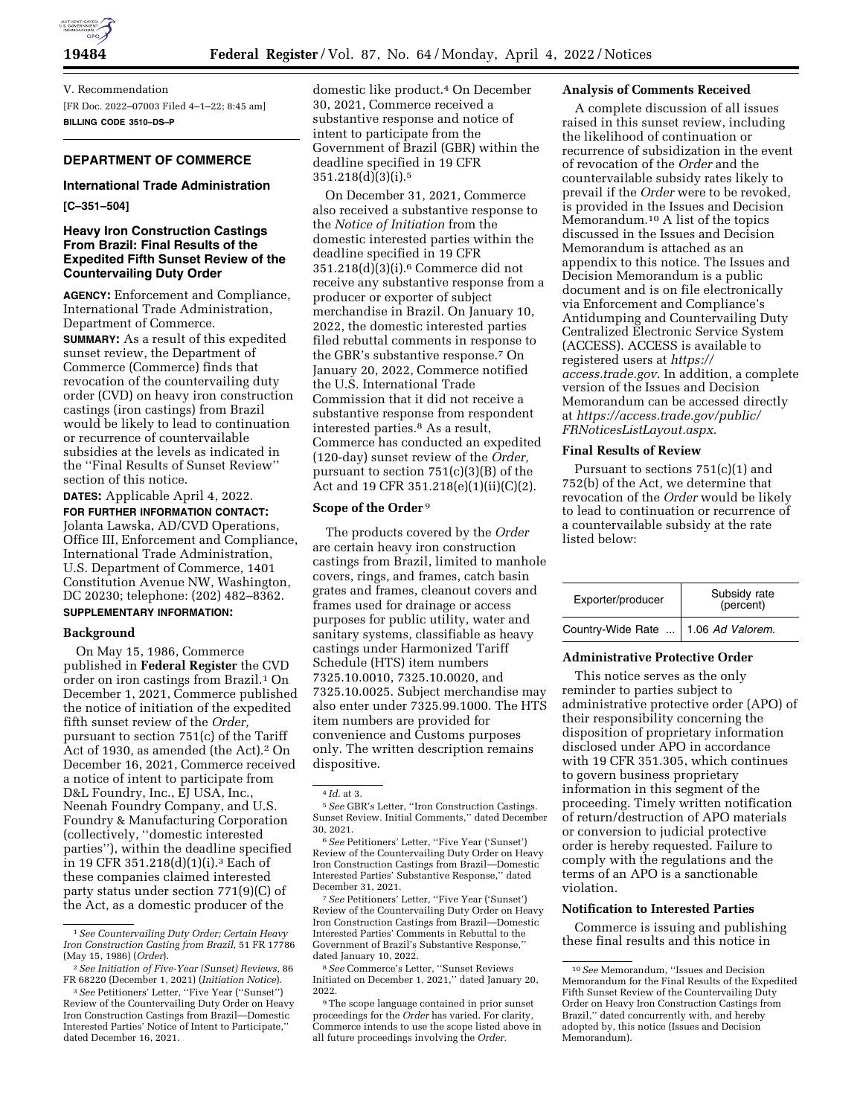

V. Recommendation [FR Doc. 2022–07003 Filed 4–1–22; 8:45 am] **BILLING CODE 3510–DS–P** 

# **DEPARTMENT OF COMMERCE**

# **International Trade Administration**

### **[C–351–504]**

# **Heavy Iron Construction Castings From Brazil: Final Results of the Expedited Fifth Sunset Review of the Countervailing Duty Order**

**AGENCY:** Enforcement and Compliance, International Trade Administration, Department of Commerce. **SUMMARY:** As a result of this expedited sunset review, the Department of Commerce (Commerce) finds that revocation of the countervailing duty order (CVD) on heavy iron construction castings (iron castings) from Brazil would be likely to lead to continuation or recurrence of countervailable subsidies at the levels as indicated in the ''Final Results of Sunset Review'' section of this notice.

**DATES:** Applicable April 4, 2022. **FOR FURTHER INFORMATION CONTACT:**  Jolanta Lawska, AD/CVD Operations, Office III, Enforcement and Compliance, International Trade Administration, U.S. Department of Commerce, 1401 Constitution Avenue NW, Washington, DC 20230; telephone: (202) 482–8362.

# **SUPPLEMENTARY INFORMATION:**

### **Background**

On May 15, 1986, Commerce published in **Federal Register** the CVD order on iron castings from Brazil.<sup>1</sup> On December 1, 2021, Commerce published the notice of initiation of the expedited fifth sunset review of the *Order,*  pursuant to section 751(c) of the Tariff Act of 1930, as amended (the Act).2 On December 16, 2021, Commerce received a notice of intent to participate from D&L Foundry, Inc., EJ USA, Inc., Neenah Foundry Company, and U.S. Foundry & Manufacturing Corporation (collectively, ''domestic interested parties''), within the deadline specified in 19 CFR 351.218(d)(1)(i).3 Each of these companies claimed interested party status under section 771(9)(C) of the Act, as a domestic producer of the

domestic like product.4 On December 30, 2021, Commerce received a substantive response and notice of intent to participate from the Government of Brazil (GBR) within the deadline specified in 19 CFR 351.218(d)(3)(i).5

On December 31, 2021, Commerce also received a substantive response to the *Notice of Initiation* from the domestic interested parties within the deadline specified in 19 CFR 351.218(d)(3)(i).6 Commerce did not receive any substantive response from a producer or exporter of subject merchandise in Brazil. On January 10, 2022, the domestic interested parties filed rebuttal comments in response to the GBR's substantive response.7 On January 20, 2022, Commerce notified the U.S. International Trade Commission that it did not receive a substantive response from respondent interested parties.8 As a result, Commerce has conducted an expedited (120-day) sunset review of the *Order,*  pursuant to section 751(c)(3)(B) of the Act and 19 CFR 351.218(e)(1)(ii)(C)(2).

### **Scope of the Order** 9

The products covered by the *Order*  are certain heavy iron construction castings from Brazil, limited to manhole covers, rings, and frames, catch basin grates and frames, cleanout covers and frames used for drainage or access purposes for public utility, water and sanitary systems, classifiable as heavy castings under Harmonized Tariff Schedule (HTS) item numbers 7325.10.0010, 7325.10.0020, and 7325.10.0025. Subject merchandise may also enter under 7325.99.1000. The HTS item numbers are provided for convenience and Customs purposes only. The written description remains dispositive.

7*See* Petitioners' Letter, ''Five Year ('Sunset') Review of the Countervailing Duty Order on Heavy Iron Construction Castings from Brazil—Domestic Interested Parties' Comments in Rebuttal to the Government of Brazil's Substantive Response,'' dated January 10, 2022.

8*See* Commerce's Letter, ''Sunset Reviews Initiated on December 1, 2021,'' dated January 20, 2022.

9The scope language contained in prior sunset proceedings for the *Order* has varied. For clarity, Commerce intends to use the scope listed above in all future proceedings involving the *Order.* 

### **Analysis of Comments Received**

A complete discussion of all issues raised in this sunset review, including the likelihood of continuation or recurrence of subsidization in the event of revocation of the *Order* and the countervailable subsidy rates likely to prevail if the *Order* were to be revoked, is provided in the Issues and Decision Memorandum.10 A list of the topics discussed in the Issues and Decision Memorandum is attached as an appendix to this notice. The Issues and Decision Memorandum is a public document and is on file electronically via Enforcement and Compliance's Antidumping and Countervailing Duty Centralized Electronic Service System (ACCESS). ACCESS is available to registered users at *https:// access.trade.gov.* In addition, a complete version of the Issues and Decision Memorandum can be accessed directly at *https://access.trade.gov/public/ FRNoticesListLayout.aspx.* 

#### **Final Results of Review**

Pursuant to sections 751(c)(1) and 752(b) of the Act, we determine that revocation of the *Order* would be likely to lead to continuation or recurrence of a countervailable subsidy at the rate listed below:

| Exporter/producer                     | Subsidy rate<br>(percent) |
|---------------------------------------|---------------------------|
| Country-Wide Rate    1.06 Ad Valorem. |                           |

### **Administrative Protective Order**

This notice serves as the only reminder to parties subject to administrative protective order (APO) of their responsibility concerning the disposition of proprietary information disclosed under APO in accordance with 19 CFR 351.305, which continues to govern business proprietary information in this segment of the proceeding. Timely written notification of return/destruction of APO materials or conversion to judicial protective order is hereby requested. Failure to comply with the regulations and the terms of an APO is a sanctionable violation.

#### **Notification to Interested Parties**

Commerce is issuing and publishing these final results and this notice in

<sup>1</sup>*See Countervailing Duty Order; Certain Heavy Iron Construction Casting from Brazil,* 51 FR 17786 (May 15, 1986) (*Order*).

<sup>2</sup>*See Initiation of Five-Year (Sunset) Reviews,* 86 FR 68220 (December 1, 2021) (*Initiation Notice*).

<sup>3</sup>*See* Petitioners' Letter, ''Five Year (''Sunset'') Review of the Countervailing Duty Order on Heavy Iron Construction Castings from Brazil—Domestic Interested Parties' Notice of Intent to Participate,'' dated December 16, 2021.

<sup>4</sup> *Id.* at 3.

<sup>5</sup>*See* GBR's Letter, ''Iron Construction Castings. Sunset Review. Initial Comments,'' dated December 30, 2021.

<sup>6</sup>*See* Petitioners' Letter, ''Five Year ('Sunset') Review of the Countervailing Duty Order on Heavy Iron Construction Castings from Brazil—Domestic Interested Parties' Substantive Response,'' dated December 31, 2021.

<sup>10</sup>*See* Memorandum, ''Issues and Decision Memorandum for the Final Results of the Expedited Fifth Sunset Review of the Countervailing Duty Order on Heavy Iron Construction Castings from Brazil,'' dated concurrently with, and hereby adopted by, this notice (Issues and Decision Memorandum).